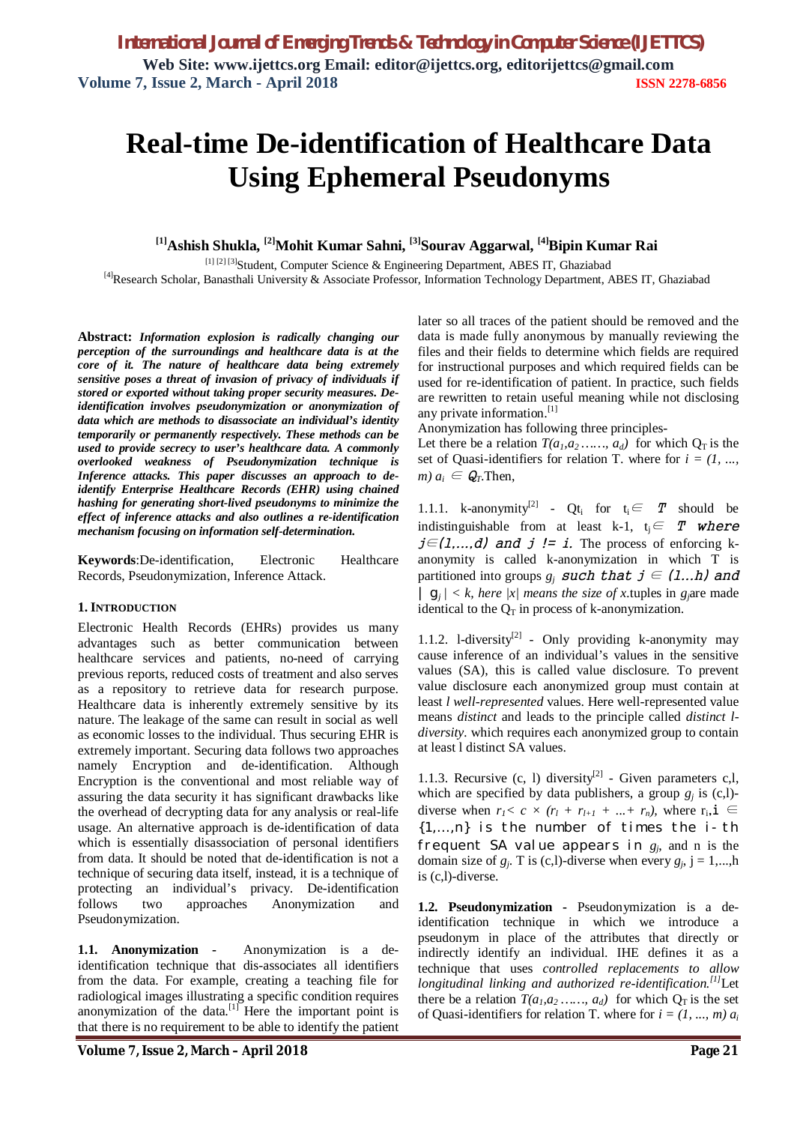**Web Site: www.ijettcs.org Email: editor@ijettcs.org, editorijettcs@gmail.com Volume 7, Issue 2, March - April 2018 ISSN 2278-6856**

# **Real-time De-identification of Healthcare Data Using Ephemeral Pseudonyms**

**[1]Ashish Shukla, [2]Mohit Kumar Sahni, [3]Sourav Aggarwal, [4]Bipin Kumar Rai**

[1] [2] [3] Student, Computer Science & Engineering Department, ABES IT, Ghaziabad [4]Research Scholar, Banasthali University & Associate Professor, Information Technology Department, ABES IT, Ghaziabad

**Abstract:** *Information explosion is radically changing our perception of the surroundings and healthcare data is at the core of it. The nature of healthcare data being extremely sensitive poses a threat of invasion of privacy of individuals if stored or exported without taking proper security measures. Deidentification involves pseudonymization or anonymization of data which are methods to disassociate an individual's identity temporarily or permanently respectively. These methods can be used to provide secrecy to user's healthcare data. A commonly overlooked weakness of Pseudonymization technique is Inference attacks. This paper discusses an approach to deidentify Enterprise Healthcare Records (EHR) using chained hashing for generating short-lived pseudonyms to minimize the effect of inference attacks and also outlines a re-identification mechanism focusing on information self-determination.*

**Keywords**:De-identification, Electronic Healthcare Records, Pseudonymization, Inference Attack.

## **1. INTRODUCTION**

Electronic Health Records (EHRs) provides us many advantages such as better communication between healthcare services and patients, no-need of carrying previous reports, reduced costs of treatment and also serves as a repository to retrieve data for research purpose. Healthcare data is inherently extremely sensitive by its nature. The leakage of the same can result in social as well as economic losses to the individual. Thus securing EHR is extremely important. Securing data follows two approaches namely Encryption and de-identification. Although Encryption is the conventional and most reliable way of assuring the data security it has significant drawbacks like the overhead of decrypting data for any analysis or real-life usage. An alternative approach is de-identification of data which is essentially disassociation of personal identifiers from data. It should be noted that de-identification is not a technique of securing data itself, instead, it is a technique of protecting an individual's privacy. De-identification follows two approaches Anonymization and Pseudonymization.

**1.1. Anonymization -** Anonymization is a deidentification technique that dis-associates all identifiers from the data. For example, creating a teaching file for radiological images illustrating a specific condition requires anonymization of the data. $\begin{bmatrix} 1 \end{bmatrix}$  Here the important point is that there is no requirement to be able to identify the patient later so all traces of the patient should be removed and the data is made fully anonymous by manually reviewing the files and their fields to determine which fields are required for instructional purposes and which required fields can be used for re-identification of patient. In practice, such fields are rewritten to retain useful meaning while not disclosing any private information.<sup>[1]</sup>

Anonymization has following three principles-

Let there be a relation  $T(a_1, a_2, \ldots, a_d)$  for which  $Q_T$  is the set of Quasi-identifiers for relation T. where for  $i = (1, \ldots,$  $m) a_i \in Q$ *T*. Then,

1.1.1. k-anonymity<sup>[2]</sup> - Qt<sub>i</sub> for  $t_i \in T$  should be indistinguishable from at least k-1,  $t_i \in T$  where *j∈(1,...,d)* and *j != i.* The process of enforcing kanonymity is called k-anonymization in which T is partitioned into groups  $g_j$  *such that*  $j \in (1...h)$  and *|*  $g_i$  / < *k*, *here*  $|x|$  *means the size of x* tuples in *g*<sub>*j*</sub>are made identical to the  $Q_T$  in process of k-anonymization.

1.1.2. 1-diversity<sup>[2]</sup> - Only providing k-anonymity may cause inference of an individual's values in the sensitive values (SA), this is called value disclosure. To prevent value disclosure each anonymized group must contain at least *l well-represented* values. Here well-represented value means *distinct* and leads to the principle called *distinct ldiversity.* which requires each anonymized group to contain at least l distinct SA values.

1.1.3. Recursive  $(c, 1)$  diversity<sup>[2]</sup> - Given parameters  $c, l$ , which are specified by data publishers, a group  $g_j$  is  $(c, l)$ diverse when  $r_1 < c \times (r_1 + r_{l+1} + ... + r_n)$ , where  $r_i, i \in$  ${1,...,n}$  is the number of times the  $i$ -th frequent SA value appears in  $g_j$ , and n is the domain size of  $g_j$ . T is (c,l)-diverse when every  $g_j$ ,  $j = 1,...,h$ is (c,l)-diverse.

**1.2. Pseudonymization -** Pseudonymization is a deidentification technique in which we introduce a pseudonym in place of the attributes that directly or indirectly identify an individual. IHE defines it as a technique that uses *controlled replacements to allow longitudinal linking and authorized re-identification.[1]*Let there be a relation  $T(a_1, a_2, \ldots, a_d)$  for which  $Q_T$  is the set of Quasi-identifiers for relation T. where for  $i = (1, ..., m) a_i$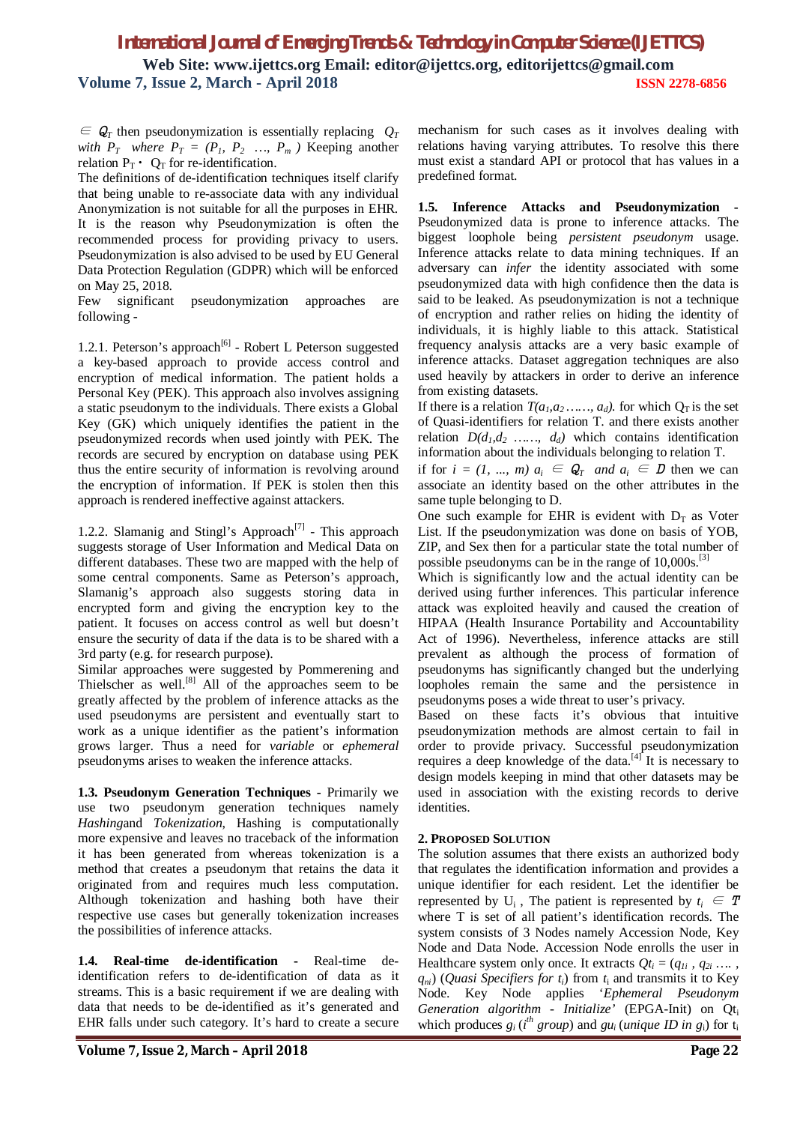$\epsilon \in Q_T$  then pseudonymization is essentially replacing  $Q_T$ *with*  $P_T$  *where*  $P_T = (P_1, P_2, \ldots, P_m)$  Keeping another relation  $P_T \cdot Q_T$  for re-identification.

The definitions of de-identification techniques itself clarify that being unable to re-associate data with any individual Anonymization is not suitable for all the purposes in EHR. It is the reason why Pseudonymization is often the recommended process for providing privacy to users. Pseudonymization is also advised to be used by EU General Data Protection Regulation (GDPR) which will be enforced on May 25, 2018.

Few significant pseudonymization approaches are following -

1.2.1. Peterson's approach<sup>[6]</sup> - Robert L Peterson suggested a key-based approach to provide access control and encryption of medical information. The patient holds a Personal Key (PEK). This approach also involves assigning a static pseudonym to the individuals. There exists a Global Key (GK) which uniquely identifies the patient in the pseudonymized records when used jointly with PEK. The records are secured by encryption on database using PEK thus the entire security of information is revolving around the encryption of information. If PEK is stolen then this approach is rendered ineffective against attackers.

1.2.2. Slamanig and Stingl's Approach<sup>[7]</sup> - This approach suggests storage of User Information and Medical Data on different databases. These two are mapped with the help of some central components. Same as Peterson's approach, Slamanig's approach also suggests storing data in encrypted form and giving the encryption key to the patient. It focuses on access control as well but doesn't ensure the security of data if the data is to be shared with a 3rd party (e.g. for research purpose).

Similar approaches were suggested by Pommerening and Thielscher as well.<sup>[8]</sup> All of the approaches seem to be greatly affected by the problem of inference attacks as the used pseudonyms are persistent and eventually start to work as a unique identifier as the patient's information grows larger. Thus a need for *variable* or *ephemeral* pseudonyms arises to weaken the inference attacks.

**1.3. Pseudonym Generation Techniques -** Primarily we use two pseudonym generation techniques namely *Hashing*and *Tokenization*, Hashing is computationally more expensive and leaves no traceback of the information it has been generated from whereas tokenization is a method that creates a pseudonym that retains the data it originated from and requires much less computation. Although tokenization and hashing both have their respective use cases but generally tokenization increases the possibilities of inference attacks.

**1.4. Real-time de-identification -** Real-time deidentification refers to de-identification of data as it streams. This is a basic requirement if we are dealing with data that needs to be de-identified as it's generated and EHR falls under such category. It's hard to create a secure

mechanism for such cases as it involves dealing with relations having varying attributes. To resolve this there must exist a standard API or protocol that has values in a predefined format.

**1.5. Inference Attacks and Pseudonymization -** Pseudonymized data is prone to inference attacks. The biggest loophole being *persistent pseudonym* usage. Inference attacks relate to data mining techniques. If an adversary can *infer* the identity associated with some pseudonymized data with high confidence then the data is said to be leaked. As pseudonymization is not a technique of encryption and rather relies on hiding the identity of individuals, it is highly liable to this attack. Statistical frequency analysis attacks are a very basic example of inference attacks. Dataset aggregation techniques are also used heavily by attackers in order to derive an inference from existing datasets.

If there is a relation  $T(a_1, a_2, \ldots, a_d)$ , for which  $Q_T$  is the set of Quasi-identifiers for relation T. and there exists another relation  $D(d_1, d_2, \ldots, d_d)$  which contains identification information about the individuals belonging to relation T.

if for  $i = (1, ..., m)$   $a_i \in Q_T$  and  $a_i \in D$  then we can associate an identity based on the other attributes in the same tuple belonging to D.

One such example for EHR is evident with  $D_T$  as Voter List. If the pseudonymization was done on basis of YOB, ZIP, and Sex then for a particular state the total number of possible pseudonyms can be in the range of  $10,000s$ .<sup>[3]</sup>

Which is significantly low and the actual identity can be derived using further inferences. This particular inference attack was exploited heavily and caused the creation of HIPAA (Health Insurance Portability and Accountability Act of 1996). Nevertheless, inference attacks are still prevalent as although the process of formation of pseudonyms has significantly changed but the underlying loopholes remain the same and the persistence in pseudonyms poses a wide threat to user's privacy.

Based on these facts it's obvious that intuitive pseudonymization methods are almost certain to fail in order to provide privacy. Successful pseudonymization requires a deep knowledge of the data. $[4]$  It is necessary to design models keeping in mind that other datasets may be used in association with the existing records to derive identities.

## **2. PROPOSED SOLUTION**

The solution assumes that there exists an authorized body that regulates the identification information and provides a unique identifier for each resident. Let the identifier be represented by  $U_i$ , The patient is represented by  $t_i \in T$ where T is set of all patient's identification records. The system consists of 3 Nodes namely Accession Node, Key Node and Data Node. Accession Node enrolls the user in Healthcare system only once. It extracts  $Qt_i = (q_{1i}, q_{2i}, \ldots, q_{ni})$  $q_{ni}$ ) (*Quasi Specifiers for t<sub>i</sub>*) from  $t_i$  and transmits it to Key Node. Key Node applies '*Ephemeral Pseudonym Generation algorithm* - *Initialize'* (EPGA-Init) on Qt<sup>i</sup> which produces  $g_i$  (*i*<sup>th</sup> group) and  $gu_i$  (*unique ID in g*<sub>i</sub>) for  $t_i$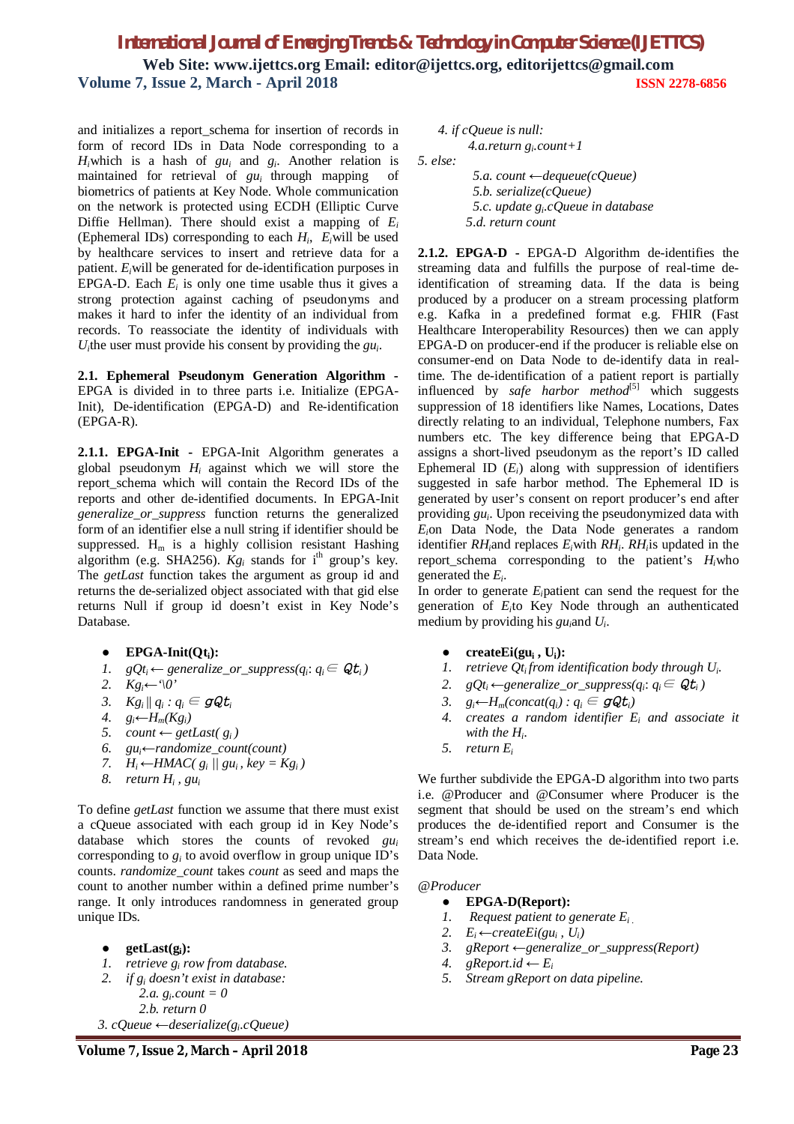and initializes a report\_schema for insertion of records in form of record IDs in Data Node corresponding to a  $H_i$ which is a hash of  $gu_i$  and  $g_i$ . Another relation is maintained for retrieval of *gui* through mapping of biometrics of patients at Key Node. Whole communication on the network is protected using ECDH (Elliptic Curve Diffie Hellman). There should exist a mapping of *E<sup>i</sup>* (Ephemeral IDs) corresponding to each  $H_i$ ,  $E_i$  will be used by healthcare services to insert and retrieve data for a patient. *Ei*will be generated for de-identification purposes in EPGA-D. Each  $E_i$  is only one time usable thus it gives a strong protection against caching of pseudonyms and makes it hard to infer the identity of an individual from records. To reassociate the identity of individuals with  $U_i$ the user must provide his consent by providing the  $gu_i$ .

**2.1. Ephemeral Pseudonym Generation Algorithm -** EPGA is divided in to three parts i.e. Initialize (EPGA-Init), De-identification (EPGA-D) and Re-identification (EPGA-R).

**2.1.1. EPGA-Init -** EPGA-Init Algorithm generates a global pseudonym *Hi* against which we will store the report\_schema which will contain the Record IDs of the reports and other de-identified documents. In EPGA-Init *generalize\_or\_suppress* function returns the generalized form of an identifier else a null string if identifier should be suppressed.  $H_m$  is a highly collision resistant Hashing algorithm (e.g. SHA256).  $Kg_i$  stands for i<sup>th</sup> group's key. The *getLast* function takes the argument as group id and returns the de-serialized object associated with that gid else returns Null if group id doesn't exist in Key Node's Database.

- **EPGA-Init(Qti):**
- *1.*  $gQt_i$  ← generalize\_or\_suppress( $q_i$ :  $q_i$  ∈  $Qt_i$ )
- 2.  $Kg_i$ <sup>←</sup>'\0'
- *3.*  $Kg_i || q_i : q_i \in \mathcal{GQ}t_i$
- *4.*  $g_i$ <sup>←</sup>*H***<sub>m</sub>(***Kg***<sub>***i***</sub>)</sub>**
- *5. count* ← *getLast*( $g_i$ )<br>6.  $gu_i$ ← *randomize\_coun*
- *6. gui←randomize\_count(count)*
- *7.*  $H_i$  ←  $HMAC(g_i | \{gu_i, key = Kg_i)$
- *8. return H<sup>i</sup> , gu<sup>i</sup>*

To define *getLast* function we assume that there must exist a cQueue associated with each group id in Key Node's database which stores the counts of revoked *gu<sup>i</sup>* corresponding to  $g_i$  to avoid overflow in group unique ID's counts. *randomize\_count* takes *count* as seed and maps the count to another number within a defined prime number's range. It only introduces randomness in generated group unique IDs.

● **getLast(gi):**

- *1. retrieve g<sup>i</sup> row from database.*
- *2. if g<sup>i</sup> doesn't exist in database:*
	- *2.a. g<sup>i</sup> .count = 0 2.b. return 0*

```
 3. cQueue ←deserialize(gi
.cQueue)
```
 *4. if cQueue is null: 4.a.return g<sup>i</sup> .count+1*

*5. else:*

 *5.a. count ←dequeue(cQueue) 5.b. serialize(cQueue) 5.c. update g<sup>i</sup> .cQueue in database 5*.*d*. *return count*

**2.1.2. EPGA-D -** EPGA-D Algorithm de-identifies the streaming data and fulfills the purpose of real-time deidentification of streaming data. If the data is being produced by a producer on a stream processing platform e.g. Kafka in a predefined format e.g. FHIR (Fast Healthcare Interoperability Resources) then we can apply EPGA-D on producer-end if the producer is reliable else on consumer-end on Data Node to de-identify data in realtime. The de-identification of a patient report is partially influenced by *safe harbor* method<sup>[5]</sup> which suggests suppression of 18 identifiers like Names, Locations, Dates directly relating to an individual, Telephone numbers, Fax numbers etc. The key difference being that EPGA-D assigns a short-lived pseudonym as the report's ID called Ephemeral ID  $(E_i)$  along with suppression of identifiers suggested in safe harbor method. The Ephemeral ID is generated by user's consent on report producer's end after providing *gu<sup>i</sup>* . Upon receiving the pseudonymized data with *Ei*on Data Node, the Data Node generates a random identifier *RHi*and replaces *Ei*with *RH<sup>i</sup>* . *RH<sup>i</sup>* is updated in the report\_schema corresponding to the patient's *Hi*who generated the *E<sup>i</sup>* .

In order to generate *Ei*patient can send the request for the generation of *E<sup>i</sup>* to Key Node through an authenticated medium by providing his *gui*and *U<sup>i</sup>* .

- **createEi(gu<sup>i</sup> , Ui):**
- *1. retrieve*  $Q_t$ *from identification body through*  $U_i$ .
- 2.  $gQt_i \leftarrow$  generalize\_or\_suppress( $q_i$ :  $q_i \in \mathcal{Q}t_i$ )
- *3. gi←Hm(concat(qi) : qi ∈ gQti)*
- *4. creates a random identifier E<sup>i</sup> and associate it with the H<sup>i</sup> .*
- *5. return E<sup>i</sup>*

We further subdivide the EPGA-D algorithm into two parts i.e. @Producer and @Consumer where Producer is the segment that should be used on the stream's end which produces the de-identified report and Consumer is the stream's end which receives the de-identified report i.e. Data Node.

#### *@Producer*

- **EPGA-D(Report):**
- *1. Request patient to generate Ei .*
- 2.  $E_i \leftarrow createEi(gu_i, U_i)$
- *3. gReport ←generalize\_or\_suppress(Report)*
- *4. gReport.id* ←  $E_i$
- *5. Stream gReport on data pipeline.*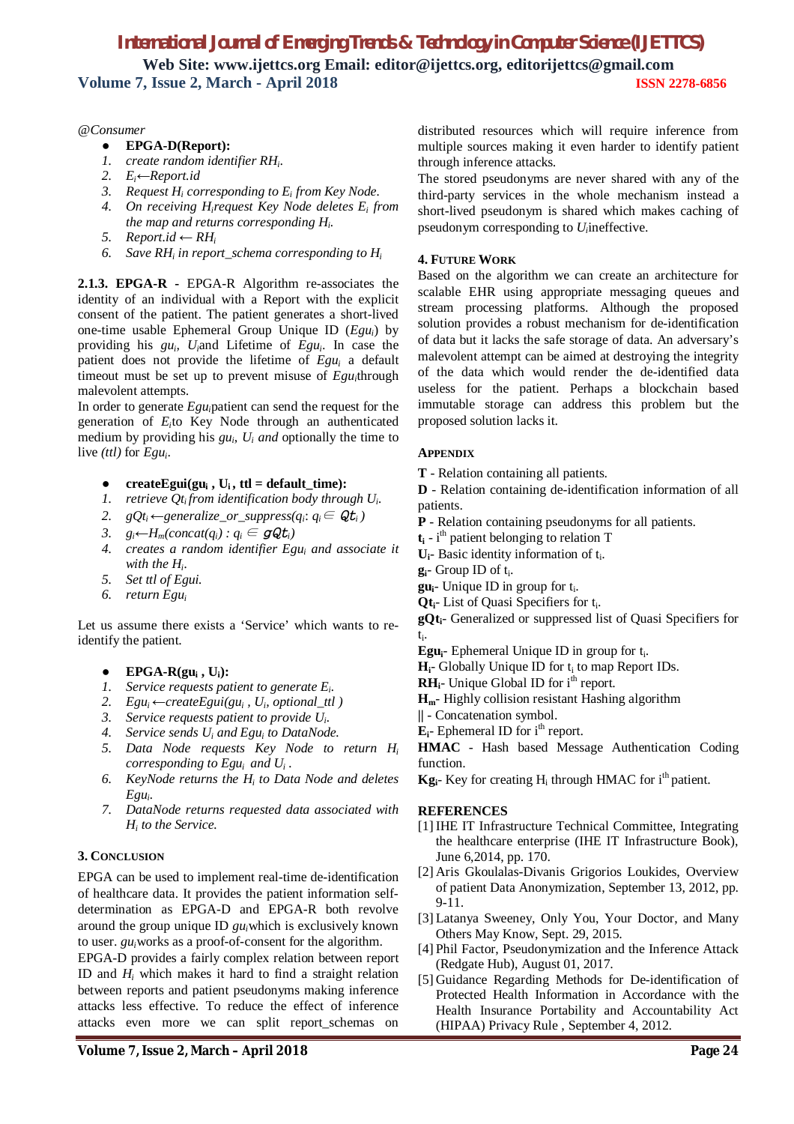#### *@Consumer*

- **EPGA-D(Report):**
- *1. create random identifier RH<sup>i</sup>* .
- *2. Ei←Report.id*
- *3. Request H<sup>i</sup> corresponding to E<sup>i</sup> from Key Node.*
- *4. On receiving Hirequest Key Node deletes E<sup>i</sup> from the map and returns corresponding H<sup>i</sup> .*
- *5.*  $Report.id ← RH<sub>i</sub>$
- *6. Save RH<sup>i</sup> in report\_schema corresponding to H<sup>i</sup>*

**2.1.3. EPGA-R -** EPGA-R Algorithm re-associates the identity of an individual with a Report with the explicit consent of the patient. The patient generates a short-lived one-time usable Ephemeral Group Unique ID (*Egui*) by providing his  $gu_i$ ,  $U_i$  and Lifetime of  $Egu_i$ . In case the patient does not provide the lifetime of *Egu<sup>i</sup>* a default timeout must be set up to prevent misuse of *Egu<sup>i</sup>* through malevolent attempts.

In order to generate *Egui*patient can send the request for the generation of *E<sup>i</sup>* to Key Node through an authenticated medium by providing his  $gu_i$ ,  $U_i$  *and* optionally the time to live *(ttl)* for *Egu<sup>i</sup>* .

- **createEgui(gu<sub>i</sub>, U<sub>i</sub>, ttl = default\_time):**
- *1. retrieve Qti from identification body through U<sup>i</sup> .*
- 2.  $gQt_i \leftarrow$  generalize\_or\_suppress( $q_i$ :  $q_i \in \mathcal{Q}t_i$ )
- *3.*  $g_i \leftarrow H_m$ (*concat*( $g_i$ *) :*  $g_i$  ∈ *gQt<sub>i</sub>***)**
- *4. creates a random identifier Egu<sup>i</sup> and associate it with the H<sup>i</sup> .*
- *5. Set ttl of Egui.*
- *6. return Egu<sup>i</sup>*

Let us assume there exists a 'Service' which wants to reidentify the patient.

- $\bullet$  **EPGA-R(gu<sub>i</sub>, U<sub>i</sub>):**
- *1. Service requests patient to generate E<sup>i</sup> .*
- 2.  $Egu_i \leftarrow createEgui(gu_i, U_i, optimal\_ttl)$
- *3. Service requests patient to provide U<sup>i</sup> .*
- *4. Service sends U<sup>i</sup> and Egu<sup>i</sup> to DataNode.*
- *5. Data Node requests Key Node to return H<sup>i</sup> corresponding to Egui and U<sup>i</sup> .*
- *6. KeyNode returns the H<sup>i</sup> to Data Node and deletes Egu<sup>i</sup> .*
- *7. DataNode returns requested data associated with Hi to the Service.*

## **3. CONCLUSION**

EPGA can be used to implement real-time de-identification of healthcare data. It provides the patient information selfdetermination as EPGA-D and EPGA-R both revolve around the group unique ID *gui*which is exclusively known to user. *gui*works as a proof-of-consent for the algorithm.

EPGA-D provides a fairly complex relation between report ID and *H<sup>i</sup>* which makes it hard to find a straight relation between reports and patient pseudonyms making inference attacks less effective. To reduce the effect of inference attacks even more we can split report\_schemas on

distributed resources which will require inference from multiple sources making it even harder to identify patient through inference attacks.

The stored pseudonyms are never shared with any of the third-party services in the whole mechanism instead a short-lived pseudonym is shared which makes caching of pseudonym corresponding to *U*<sub>*i*</sub> ineffective.

## **4. FUTURE WORK**

Based on the algorithm we can create an architecture for scalable EHR using appropriate messaging queues and stream processing platforms. Although the proposed solution provides a robust mechanism for de-identification of data but it lacks the safe storage of data. An adversary's malevolent attempt can be aimed at destroying the integrity of the data which would render the de-identified data useless for the patient. Perhaps a blockchain based immutable storage can address this problem but the proposed solution lacks it.

#### **APPENDIX**

- **T** Relation containing all patients.
- **D**  Relation containing de-identification information of all patients.
- **P**  Relation containing pseudonyms for all patients.
- **t<sup>i</sup>** i th patient belonging to relation T
- $U_i$  Basic identity information of  $t_i$ .
- **g**<sub>**i**</sub>- Group ID of t<sub>i</sub>.
- **gu**<sub>i</sub>- Unique ID in group for  $t_i$ .
- Qt<sub>i</sub>- List of Quasi Specifiers for t<sub>i</sub>.

**gQti**- Generalized or suppressed list of Quasi Specifiers for ti .

- **Egu**<sup>1</sup>- Ephemeral Unique ID in group for t<sub>i</sub>.
- $H_i$  Globally Unique ID for  $t_i$  to map Report IDs.
- $RH_i$  Unique Global ID for  $i^{\text{th}}$  report.
- **Hm** Highly collision resistant Hashing algorithm
- **||**  Concatenation symbol.
- $E_i$  Ephemeral ID for  $i^{\text{th}}$  report.

**HMAC** - Hash based Message Authentication Coding function.

**Kg**<sub>i</sub>- Key for creating H<sub>i</sub> through HMAC for i<sup>th</sup> patient.

#### **REFERENCES**

- [1] IHE IT Infrastructure Technical Committee, Integrating the healthcare enterprise (IHE IT Infrastructure Book), June 6,2014, pp. 170.
- [2] Aris Gkoulalas-Divanis Grigorios Loukides, Overview of patient Data Anonymization, September 13, 2012, pp. 9-11.
- [3] Latanya Sweeney, Only You, Your Doctor, and Many Others May Know, Sept. 29, 2015.
- [4] Phil Factor, Pseudonymization and the Inference Attack (Redgate Hub), August 01, 2017.
- [5] Guidance Regarding Methods for De-identification of Protected Health Information in Accordance with the Health Insurance Portability and Accountability Act (HIPAA) Privacy Rule , September 4, 2012.